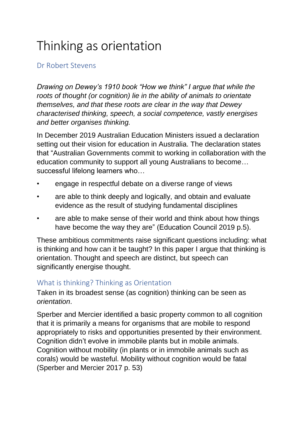# Thinking as orientation

## Dr Robert Stevens

*Drawing on Dewey's 1910 book "How we think" I argue that while the roots of thought (or cognition) lie in the ability of animals to orientate themselves, and that these roots are clear in the way that Dewey characterised thinking, speech, a social competence, vastly energises and better organises thinking.* 

In December 2019 Australian Education Ministers issued a declaration setting out their vision for education in Australia. The declaration states that "Australian Governments commit to working in collaboration with the education community to support all young Australians to become… successful lifelong learners who…

- engage in respectful debate on a diverse range of views
- are able to think deeply and logically, and obtain and evaluate evidence as the result of studying fundamental disciplines
- are able to make sense of their world and think about how things have become the way they are" (Education Council 2019 p.5).

These ambitious commitments raise significant questions including: what is thinking and how can it be taught? In this paper I argue that thinking is orientation. Thought and speech are distinct, but speech can significantly energise thought.

#### What is thinking? Thinking as Orientation

Taken in its broadest sense (as cognition) thinking can be seen as *orientation*.

Sperber and Mercier identified a basic property common to all cognition that it is primarily a means for organisms that are mobile to respond appropriately to risks and opportunities presented by their environment. Cognition didn't evolve in immobile plants but in mobile animals. Cognition without mobility (in plants or in immobile animals such as corals) would be wasteful. Mobility without cognition would be fatal (Sperber and Mercier 2017 p. 53)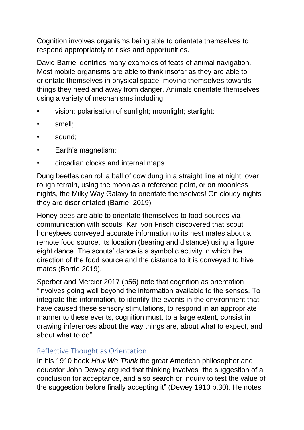Cognition involves organisms being able to orientate themselves to respond appropriately to risks and opportunities.

David Barrie identifies many examples of feats of animal navigation. Most mobile organisms are able to think insofar as they are able to orientate themselves in physical space, moving themselves towards things they need and away from danger. Animals orientate themselves using a variety of mechanisms including:

- vision; polarisation of sunlight; moonlight; starlight;
- smell;
- sound;
- Earth's magnetism:
- circadian clocks and internal maps.

Dung beetles can roll a ball of cow dung in a straight line at night, over rough terrain, using the moon as a reference point, or on moonless nights, the Milky Way Galaxy to orientate themselves! On cloudy nights they are disorientated (Barrie, 2019)

Honey bees are able to orientate themselves to food sources via communication with scouts. Karl von Frisch discovered that scout honeybees conveyed accurate information to its nest mates about a remote food source, its location (bearing and distance) using a figure eight dance. The scouts' dance is a symbolic activity in which the direction of the food source and the distance to it is conveyed to hive mates (Barrie 2019).

Sperber and Mercier 2017 (p56) note that cognition as orientation "involves going well beyond the information available to the senses. To integrate this information, to identify the events in the environment that have caused these sensory stimulations, to respond in an appropriate manner to these events, cognition must, to a large extent, consist in drawing inferences about the way things are, about what to expect, and about what to do".

#### Reflective Thought as Orientation

In his 1910 book *How We Think* the great American philosopher and educator John Dewey argued that thinking involves "the suggestion of a conclusion for acceptance, and also search or inquiry to test the value of the suggestion before finally accepting it" (Dewey 1910 p.30). He notes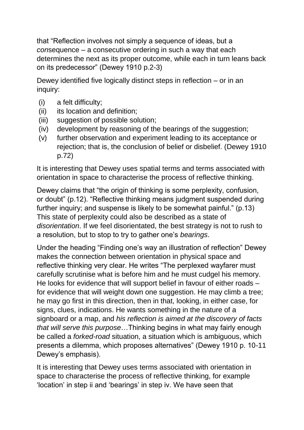that "Reflection involves not simply a sequence of ideas, but a *con*sequence – a consecutive ordering in such a way that each determines the next as its proper outcome, while each in turn leans back on its predecessor" (Dewey 1910 p.2-3)

Dewey identified five logically distinct steps in reflection – or in an inquiry:

- (i) a felt difficulty;
- (ii) its location and definition:
- (iii) suggestion of possible solution:
- (iv) development by reasoning of the bearings of the suggestion;
- (v) further observation and experiment leading to its acceptance or rejection; that is, the conclusion of belief or disbelief. (Dewey 1910 p.72)

It is interesting that Dewey uses spatial terms and terms associated with orientation in space to characterise the process of reflective thinking.

Dewey claims that "the origin of thinking is some perplexity, confusion, or doubt" (p.12). "Reflective thinking means judgment suspended during further inquiry; and suspense is likely to be somewhat painful." (p.13) This state of perplexity could also be described as a state of *disorientation*. If we feel disorientated, the best strategy is not to rush to a resolution, but to stop to try to gather one's *bearings*.

Under the heading "Finding one's way an illustration of reflection" Dewey makes the connection between orientation in physical space and reflective thinking very clear. He writes "The perplexed wayfarer must carefully scrutinise what is before him and he must cudgel his memory. He looks for evidence that will support belief in favour of either roads – for evidence that will weight down one suggestion. He may climb a tree; he may go first in this direction, then in that, looking, in either case, for signs, clues, indications. He wants something in the nature of a signboard or a map, and *his reflection is aimed at the discovery of facts that will serve this purpose*…Thinking begins in what may fairly enough be called a *forked-road* situation, a situation which is ambiguous, which presents a dilemma, which proposes alternatives" (Dewey 1910 p. 10-11 Dewey's emphasis).

It is interesting that Dewey uses terms associated with orientation in space to characterise the process of reflective thinking, for example 'location' in step ii and 'bearings' in step iv. We have seen that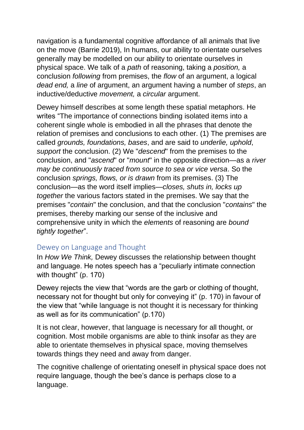navigation is a fundamental cognitive affordance of all animals that live on the move (Barrie 2019), In humans, our ability to orientate ourselves generally may be modelled on our ability to orientate ourselves in physical space. We talk of a *path* of reasoning, taking a *position,* a conclusion *following* from premises, the *flow* of an argument, a logical *dead end,* a *line* of argument, an argument having a number of *steps*, an inductive/deductive *movement,* a *circular* argument.

Dewey himself describes at some length these spatial metaphors. He writes "The importance of connections binding isolated items into a coherent single whole is embodied in all the phrases that denote the relation of premises and conclusions to each other. (1) The premises are called *grounds, foundations, bases*, and are said to *underlie, uphold*, *support* the conclusion. (2) We "*descend*" from the premises to the conclusion, and "*ascend*" or "*mount*" in the opposite direction—as a *river may be continuously traced from source to sea or vice versa*. So the conclusion *springs, flows, or is drawn* from its premises. (3) The conclusion—as the word itself implies—*closes, shuts in, locks up together* the various factors stated in the premises. We say that the premises "*contain*" the conclusion, and that the conclusion "*contains*" the premises, thereby marking our sense of the inclusive and comprehensive unity in which the *elements* of reasoning are *bound tightly together*".

#### Dewey on Language and Thought

In *How We Think,* Dewey discusses the relationship between thought and language. He notes speech has a "peculiarly intimate connection with thought" (p. 170)

Dewey rejects the view that "words are the garb or clothing of thought, necessary not for thought but only for conveying it" (p. 170) in favour of the view that "while language is not thought it is necessary for thinking as well as for its communication" (p.170)

It is not clear, however, that language is necessary for all thought, or cognition. Most mobile organisms are able to think insofar as they are able to orientate themselves in physical space, moving themselves towards things they need and away from danger.

The cognitive challenge of orientating oneself in physical space does not require language, though the bee's dance is perhaps close to a language.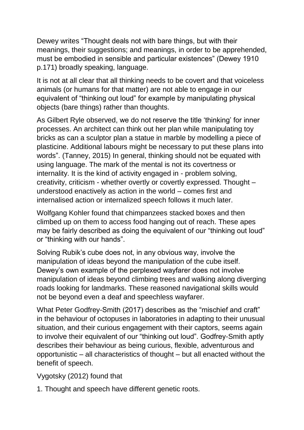Dewey writes "Thought deals not with bare things, but with their meanings, their suggestions; and meanings, in order to be apprehended, must be embodied in sensible and particular existences" (Dewey 1910 p.171) broadly speaking, language.

It is not at all clear that all thinking needs to be covert and that voiceless animals (or humans for that matter) are not able to engage in our equivalent of "thinking out loud" for example by manipulating physical objects (bare things) rather than thoughts.

As Gilbert Ryle observed, we do not reserve the title 'thinking' for inner processes. An architect can think out her plan while manipulating toy bricks as can a sculptor plan a statue in marble by modelling a piece of plasticine. Additional labours might be necessary to put these plans into words". (Tanney, 2015) In general, thinking should not be equated with using language. The mark of the mental is not its covertness or internality. It is the kind of activity engaged in - problem solving, creativity, criticism - whether overtly or covertly expressed. Thought – understood enactively as action in the world – comes first and internalised action or internalized speech follows it much later.

Wolfgang Kohler found that chimpanzees stacked boxes and then climbed up on them to access food hanging out of reach. These apes may be fairly described as doing the equivalent of our "thinking out loud" or "thinking with our hands".

Solving Rubik's cube does not, in any obvious way, involve the manipulation of ideas beyond the manipulation of the cube itself. Dewey's own example of the perplexed wayfarer does not involve manipulation of ideas beyond climbing trees and walking along diverging roads looking for landmarks. These reasoned navigational skills would not be beyond even a deaf and speechless wayfarer.

What Peter Godfrey-Smith (2017) describes as the "mischief and craft" in the behaviour of octopuses in laboratories in adapting to their unusual situation, and their curious engagement with their captors, seems again to involve their equivalent of our "thinking out loud". Godfrey-Smith aptly describes their behaviour as being curious, flexible, adventurous and opportunistic – all characteristics of thought – but all enacted without the benefit of speech.

Vygotsky (2012) found that

1. Thought and speech have different genetic roots.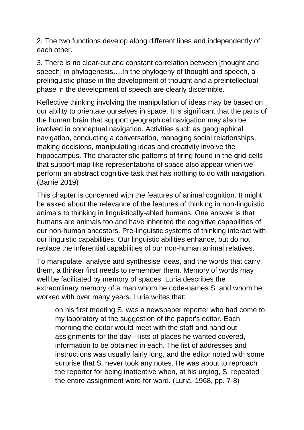2. The two functions develop along different lines and independently of each other.

3. There is no clear-cut and constant correlation between [thought and speech] in phylogenesis....In the phylogeny of thought and speech, a prelinguistic phase in the development of thought and a preintellectual phase in the development of speech are clearly discernible.

Reflective thinking involving the manipulation of ideas may be based on our ability to orientate ourselves in space. It is significant that the parts of the human brain that support geographical navigation may also be involved in conceptual navigation. Activities such as geographical navigation, conducting a conversation, managing social relationships, making decisions, manipulating ideas and creativity involve the hippocampus. The characteristic patterns of firing found in the grid-cells that support map-like representations of space also appear when we perform an abstract cognitive task that has nothing to do with navigation. (Barrie 2019)

This chapter is concerned with the features of animal cognition. It might be asked about the relevance of the features of thinking in non-linguistic animals to thinking in linguistically-abled humans. One answer is that humans are animals too and have inherited the cognitive capabilities of our non-human ancestors. Pre-linguistic systems of thinking interact with our linguistic capabilities. Our linguistic abilities enhance, but do not replace the inferential capabilities of our non-human animal relatives.

To manipulate, analyse and synthesise ideas, and the words that carry them, a thinker first needs to remember them. Memory of words may well be facilitated by memory of spaces. Luria describes the extraordinary memory of a man whom he code-names S. and whom he worked with over many years. Luria writes that:

on his first meeting S. was a newspaper reporter who had come to my laboratory at the suggestion of the paper's editor. Each morning the editor would meet with the staff and hand out assignments for the day—lists of places he wanted covered, information to be obtained in each. The list of addresses and instructions was usually fairly long, and the editor noted with some surprise that S. never took any notes. He was about to reproach the reporter for being inattentive when, at his urging, S. repeated the entire assignment word for word. (Luria, 1968, pp. 7-8)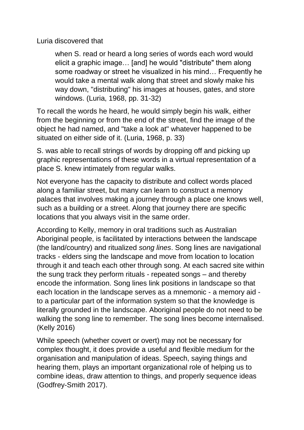Luria discovered that

when S. read or heard a long series of words each word would elicit a graphic image… [and] he would "distribute" them along some roadway or street he visualized in his mind… Frequently he would take a mental walk along that street and slowly make his way down, "distributing" his images at houses, gates, and store windows. (Luria, 1968, pp. 31-32)

To recall the words he heard, he would simply begin his walk, either from the beginning or from the end of the street, find the image of the object he had named, and "take a look at" whatever happened to be situated on either side of it. (Luria, 1968, p. 33)

S. was able to recall strings of words by dropping off and picking up graphic representations of these words in a virtual representation of a place S. knew intimately from regular walks.

Not everyone has the capacity to distribute and collect words placed along a familiar street, but many can learn to construct a memory palaces that involves making a journey through a place one knows well, such as a building or a street. Along that journey there are specific locations that you always visit in the same order.

According to Kelly, memory in oral traditions such as Australian Aboriginal people, is facilitated by interactions between the landscape (the land/country) and ritualized *song lines*. Song lines are navigational tracks - elders sing the landscape and move from location to location through it and teach each other through song. At each sacred site within the sung track they perform rituals - repeated songs – and thereby encode the information. Song lines link positions in landscape so that each location in the landscape serves as a mnemonic - a memory aid to a particular part of the information system so that the knowledge is literally grounded in the landscape. Aboriginal people do not need to be walking the song line to remember. The song lines become internalised. (Kelly 2016)

While speech (whether covert or overt) may not be necessary for complex thought, it does provide a useful and flexible medium for the organisation and manipulation of ideas. Speech, saying things and hearing them, plays an important organizational role of helping us to combine ideas, draw attention to things, and properly sequence ideas (Godfrey-Smith 2017).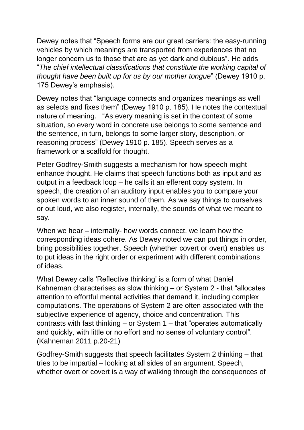Dewey notes that "Speech forms are our great carriers: the easy-running vehicles by which meanings are transported from experiences that no longer concern us to those that are as yet dark and dubious". He adds "*The chief intellectual classifications that constitute the working capital of thought have been built up for us by our mother tongue*" (Dewey 1910 p. 175 Dewey's emphasis).

Dewey notes that "language connects and organizes meanings as well as selects and fixes them" (Dewey 1910 p. 185). He notes the contextual nature of meaning. "As every meaning is set in the context of some situation, so every word in concrete use belongs to some sentence and the sentence, in turn, belongs to some larger story, description, or reasoning process" (Dewey 1910 p. 185). Speech serves as a framework or a scaffold for thought.

Peter Godfrey-Smith suggests a mechanism for how speech might enhance thought. He claims that speech functions both as input and as output in a feedback loop – he calls it an efferent copy system. In speech, the creation of an auditory input enables you to compare your spoken words to an inner sound of them. As we say things to ourselves or out loud, we also register, internally, the sounds of what we meant to say.

When we hear – internally- how words connect, we learn how the corresponding ideas cohere. As Dewey noted we can put things in order, bring possibilities together. Speech (whether covert or overt) enables us to put ideas in the right order or experiment with different combinations of ideas.

What Dewey calls 'Reflective thinking' is a form of what Daniel Kahneman characterises as slow thinking – or System 2 - that "allocates attention to effortful mental activities that demand it, including complex computations. The operations of System 2 are often associated with the subjective experience of agency, choice and concentration. This contrasts with fast thinking – or System 1 – that "operates automatically and quickly, with little or no effort and no sense of voluntary control". (Kahneman 2011 p.20-21)

Godfrey-Smith suggests that speech facilitates System 2 thinking – that tries to be impartial – looking at all sides of an argument. Speech, whether overt or covert is a way of walking through the consequences of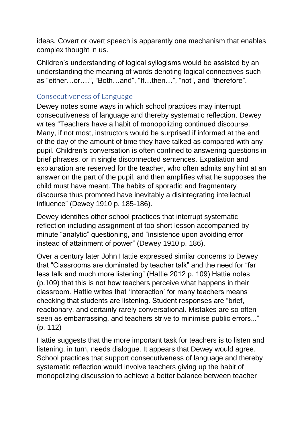ideas. Covert or overt speech is apparently one mechanism that enables complex thought in us.

Children's understanding of logical syllogisms would be assisted by an understanding the meaning of words denoting logical connectives such as "either…or….", "Both…and", "If…then…", "not", and "therefore".

### Consecutiveness of Language

Dewey notes some ways in which school practices may interrupt consecutiveness of language and thereby systematic reflection. Dewey writes "Teachers have a habit of monopolizing continued discourse. Many, if not most, instructors would be surprised if informed at the end of the day of the amount of time they have talked as compared with any pupil. Children's conversation is often confined to answering questions in brief phrases, or in single disconnected sentences. Expatiation and explanation are reserved for the teacher, who often admits any hint at an answer on the part of the pupil, and then amplifies what he supposes the child must have meant. The habits of sporadic and fragmentary discourse thus promoted have inevitably a disintegrating intellectual influence" (Dewey 1910 p. 185-186).

Dewey identifies other school practices that interrupt systematic reflection including assignment of too short lesson accompanied by minute "analytic" questioning, and "insistence upon avoiding error instead of attainment of power" (Dewey 1910 p. 186).

Over a century later John Hattie expressed similar concerns to Dewey that "Classrooms are dominated by teacher talk" and the need for "far less talk and much more listening" (Hattie 2012 p. 109) Hattie notes (p.109) that this is not how teachers perceive what happens in their classroom. Hattie writes that 'Interaction' for many teachers means checking that students are listening. Student responses are "brief, reactionary, and certainly rarely conversational. Mistakes are so often seen as embarrassing, and teachers strive to minimise public errors..." (p. 112)

Hattie suggests that the more important task for teachers is to listen and listening, in turn, needs dialogue. It appears that Dewey would agree. School practices that support consecutiveness of language and thereby systematic reflection would involve teachers giving up the habit of monopolizing discussion to achieve a better balance between teacher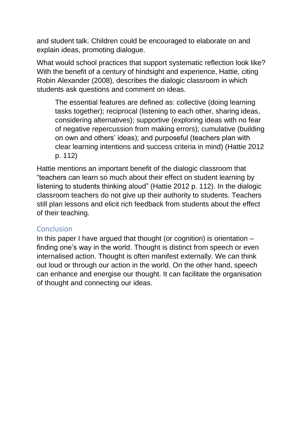and student talk. Children could be encouraged to elaborate on and explain ideas, promoting dialogue.

What would school practices that support systematic reflection look like? With the benefit of a century of hindsight and experience, Hattie, citing Robin Alexander (2008), describes the dialogic classroom in which students ask questions and comment on ideas.

The essential features are defined as: collective (doing learning tasks together); reciprocal (listening to each other, sharing ideas, considering alternatives); supportive (exploring ideas with no fear of negative repercussion from making errors); cumulative (building on own and others' ideas); and purposeful (teachers plan with clear learning intentions and success criteria in mind) (Hattie 2012 p. 112)

Hattie mentions an important benefit of the dialogic classroom that "teachers can learn so much about their effect on student learning by listening to students thinking aloud" (Hattie 2012 p. 112). In the dialogic classroom teachers do not give up their authority to students. Teachers still plan lessons and elicit rich feedback from students about the effect of their teaching.

#### Conclusion

In this paper I have argued that thought (or cognition) is orientation – finding one's way in the world. Thought is distinct from speech or even internalised action. Thought is often manifest externally. We can think out loud or through our action in the world. On the other hand, speech can enhance and energise our thought. It can facilitate the organisation of thought and connecting our ideas.